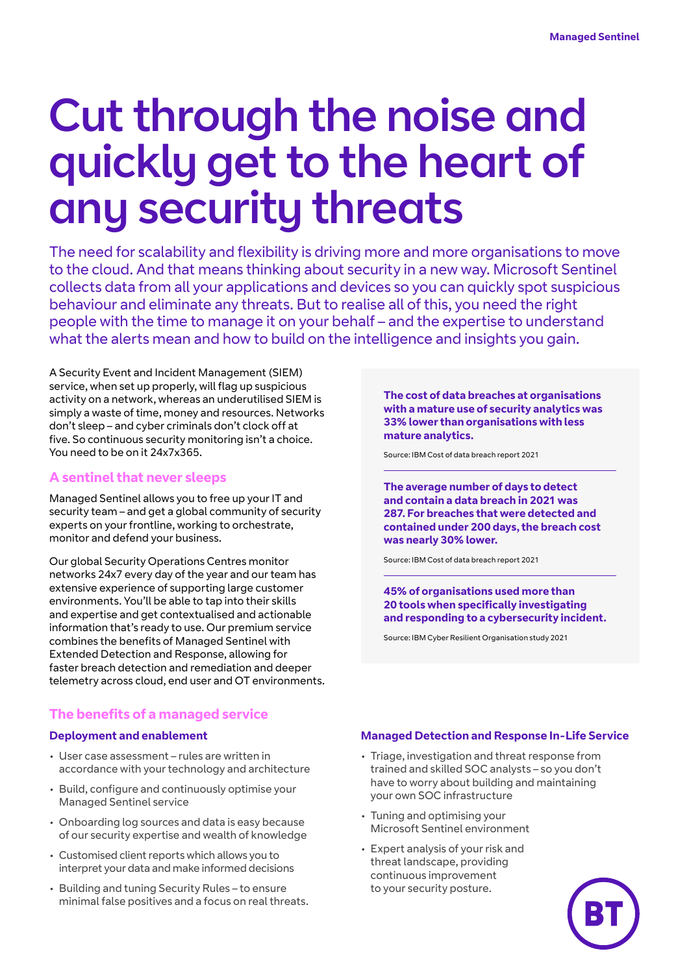# Cut through the noise and quickly get to the heart of any security threats

The need for scalability and flexibility is driving more and more organisations to move to the cloud. And that means thinking about security in a new way. Microsoft Sentinel collects data from all your applications and devices so you can quickly spot suspicious behaviour and eliminate any threats. But to realise all of this, you need the right people with the time to manage it on your behalf – and the expertise to understand what the alerts mean and how to build on the intelligence and insights you gain.

A Security Event and Incident Management (SIEM) service, when set up properly, will flag up suspicious activity on a network, whereas an underutilised SIEM is simply a waste of time, money and resources. Networks don't sleep – and cyber criminals don't clock off at five. So continuous security monitoring isn't a choice. You need to be on it 24x7x365.

### **A sentinel that never sleeps**

Managed Sentinel allows you to free up your IT and security team – and get a global community of security experts on your frontline, working to orchestrate, monitor and defend your business.

Our global Security Operations Centres monitor networks 24x7 every day of the year and our team has extensive experience of supporting large customer environments. You'll be able to tap into their skills and expertise and get contextualised and actionable information that's ready to use. Our premium service combines the benefits of Managed Sentinel with Extended Detection and Response, allowing for faster breach detection and remediation and deeper telemetry across cloud, end user and OT environments.

### **The benefits of a managed service**

### **Deployment and enablement**

- User case assessment rules are written in accordance with your technology and architecture
- Build, configure and continuously optimise your Managed Sentinel service
- Onboarding log sources and data is easy because of our security expertise and wealth of knowledge
- Customised client reports which allows you to interpret your data and make informed decisions
- Building and tuning Security Rules to ensure minimal false positives and a focus on real threats.

**The cost of data breaches at organisations with a mature use of security analytics was 33% lower than organisations with less mature analytics.**

Source: IBM Cost of data breach report 2021

**The average number of days to detect and contain a data breach in 2021 was 287. For breaches that were detected and contained under 200 days, the breach cost was nearly 30% lower.**

Source: IBM Cost of data breach report 2021

**45% of organisations used more than 20 tools when specifically investigating and responding to a cybersecurity incident.**

Source: IBM Cyber Resilient Organisation study 2021

### **Managed Detection and Response In-Life Service**

- Triage, investigation and threat response from trained and skilled SOC analysts – so you don't have to worry about building and maintaining your own SOC infrastructure
- Tuning and optimising your Microsoft Sentinel environment
- Expert analysis of your risk and threat landscape, providing continuous improvement to your security posture.